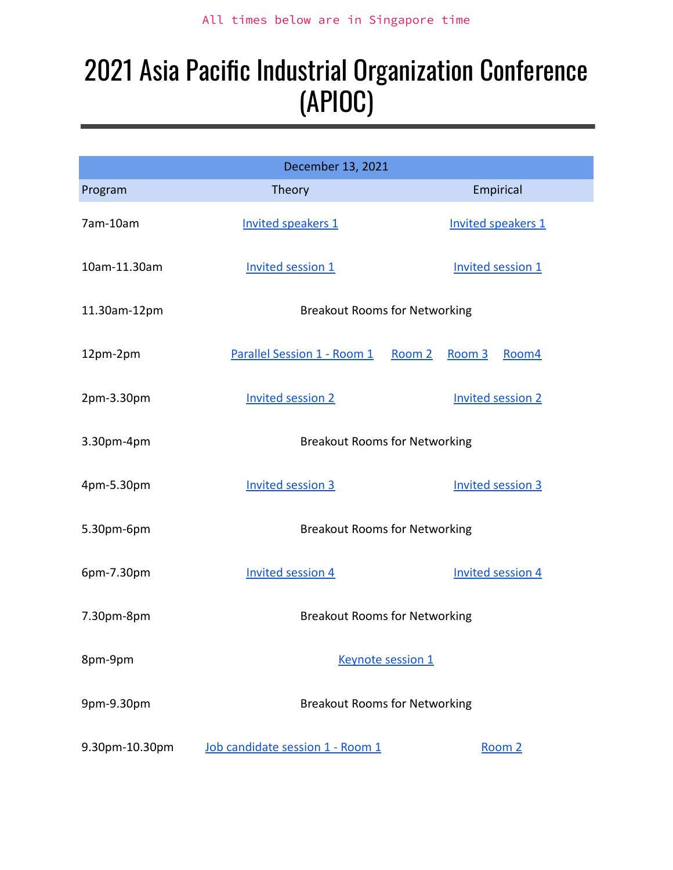# 2021 Asia Pacific Industrial Organization Conference (APIOC)

|                | December 13, 2021                     |                          |
|----------------|---------------------------------------|--------------------------|
| Program        | Theory                                | Empirical                |
| 7am-10am       | <b>Invited speakers 1</b>             | Invited speakers 1       |
| 10am-11.30am   | Invited session 1                     | Invited session 1        |
| 11.30am-12pm   | <b>Breakout Rooms for Networking</b>  |                          |
| 12pm-2pm       | Parallel Session 1 - Room 1<br>Room 2 | Room 3<br>Room4          |
| 2pm-3.30pm     | <b>Invited session 2</b>              | <b>Invited session 2</b> |
| 3.30pm-4pm     | <b>Breakout Rooms for Networking</b>  |                          |
| 4pm-5.30pm     | <b>Invited session 3</b>              | <b>Invited session 3</b> |
| 5.30pm-6pm     | <b>Breakout Rooms for Networking</b>  |                          |
| 6pm-7.30pm     | <b>Invited session 4</b>              | <b>Invited session 4</b> |
| 7.30pm-8pm     | <b>Breakout Rooms for Networking</b>  |                          |
| 8pm-9pm        | Keynote session 1                     |                          |
| 9pm-9.30pm     | <b>Breakout Rooms for Networking</b>  |                          |
| 9.30pm-10.30pm | Job candidate session 1 - Room 1      | Room 2                   |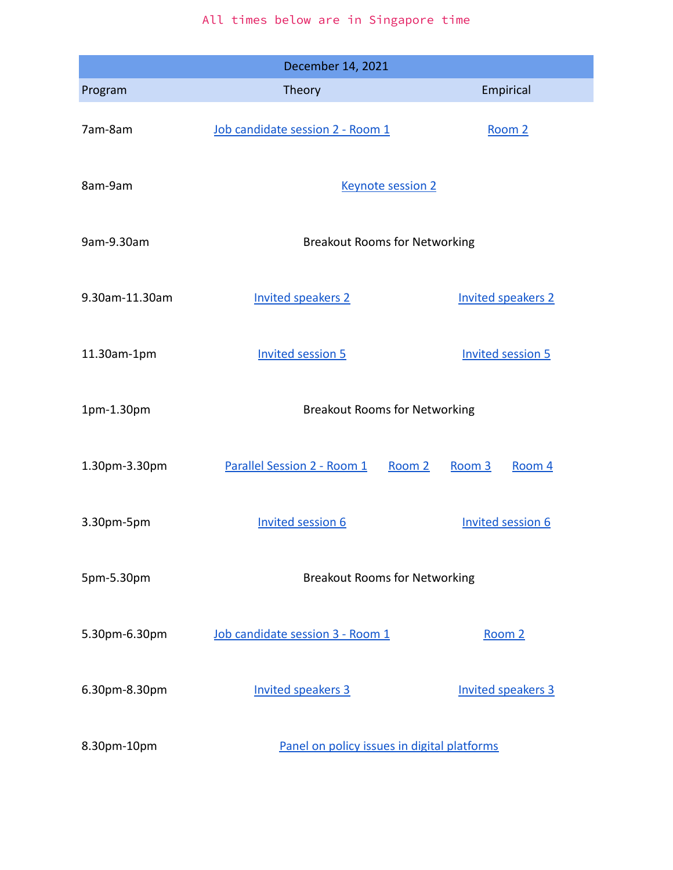|                | December 14, 2021                            |                           |
|----------------|----------------------------------------------|---------------------------|
| Program        | Theory                                       | Empirical                 |
| 7am-8am        | Job candidate session 2 - Room 1             | Room 2                    |
| 8am-9am        | <b>Keynote session 2</b>                     |                           |
| 9am-9.30am     | <b>Breakout Rooms for Networking</b>         |                           |
| 9.30am-11.30am | <b>Invited speakers 2</b>                    | <b>Invited speakers 2</b> |
| 11.30am-1pm    | <b>Invited session 5</b>                     | <b>Invited session 5</b>  |
| 1pm-1.30pm     | <b>Breakout Rooms for Networking</b>         |                           |
| 1.30pm-3.30pm  | <b>Parallel Session 2 - Room 1</b><br>Room 2 | Room 3<br>Room 4          |
| 3.30pm-5pm     | <b>Invited session 6</b>                     | <b>Invited session 6</b>  |
| 5pm-5.30pm     | <b>Breakout Rooms for Networking</b>         |                           |
| 5.30pm-6.30pm  | Job candidate session 3 - Room 1             | Room 2                    |
| 6.30pm-8.30pm  | <b>Invited speakers 3</b>                    | <b>Invited speakers 3</b> |
| 8.30pm-10pm    | Panel on policy issues in digital platforms  |                           |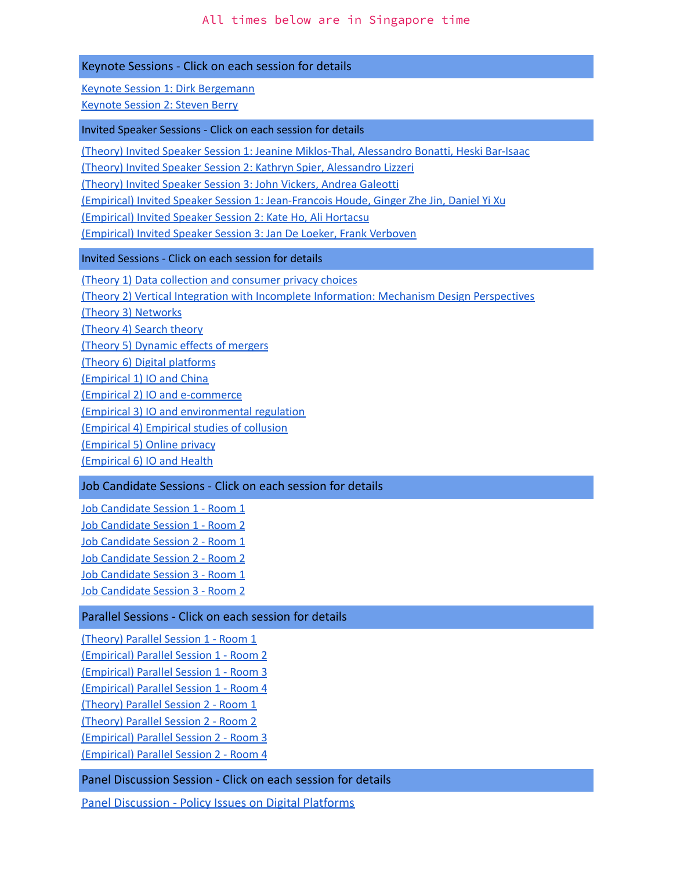#### Keynote Sessions - Click on each session for details

Keynote Session 1: Dirk [Bergemann](#page-8-2)

[Keynote](#page-10-2) Session 2: Steven Berry

#### Invited Speaker Sessions - Click on each session for details

(Theory) Invited Speaker Session 1: Jeanine [Miklos-Thal,](#page-3-0) Alessandro Bonatti, Heski Bar-Isaac

(Theory) Invited Speaker Session 2: Kathryn Spier, [Alessandro](#page-10-3) Lizzeri

[\(Theory\)](#page-15-1) Invited Speaker Session 3: John Vickers, Andrea Galeotti

(Empirical) Invited Speaker Session 1: [Jean-Francois](#page-3-1) Houde, Ginger Zhe Jin, Daniel Yi Xu

[\(Empirical\)](#page-11-0) Invited Speaker Session 2: Kate Ho, Ali Hortacsu

[\(Empirical\)](#page-15-2) Invited Speaker Session 3: Jan De Loeker, Frank Verboven

#### Invited Sessions - Click on each session for details

(Theory 1) Data collection and [consumer](#page-4-0) privacy choices

(Theory 2) Vertical Integration with Incomplete [Information:](#page-6-1) Mechanism Design Perspectives

(Theory 3) [Networks](#page-7-1)

[\(Theory](#page-8-0) 4) Search theory

(Theory 5) [Dynamic](#page-11-1) effects of mergers

(Theory 6) Digital [platforms](#page-14-0)

[\(Empirical](#page-4-1) 1) IO and China

(Empirical 2) IO and [e-commerce](#page-7-0)

(Empirical 3) IO and [environmental](#page-7-2) regulation

[\(Empirical](#page-8-1) 4) Empirical studies of collusion

[\(Empirical](#page-12-0) 5) Online privacy

[\(Empirical](#page-14-1) 6) IO and Health

#### Job Candidate Sessions - Click on each session for details

Job [Candidate](#page-9-0) Session 1 - Room 1 Job [Candidate](#page-9-1) Session 1 - Room 2 Job [Candidate](#page-10-0) Session 2 - Room 1 Job [Candidate](#page-10-1) Session 2 - Room 2 Job [Candidate](#page-14-2) Session 3 - Room 1 Job [Candidate](#page-15-0) Session 3 - Room 2

#### Parallel Sessions - Click on each session for details

[\(Theory\)](#page-5-0) Parallel Session 1 - Room 1

[\(Empirical\)](#page-5-1) Parallel Session 1 - [Room](#page-5-0) [2](#page-5-1)

[\(Empirical\)](#page-5-2) Parallel Session 1 - [Room](#page-5-0) [3](#page-5-2)

[\(Empirical\)](#page-6-0) Parallel Session 1 - [Room](#page-5-0) [4](#page-6-0)

[\(Theory\)](#page-12-1) Parallel Session 2 - [Room](#page-5-0) 1

[\(Theory\)](#page-12-2) Parallel Session 2 - [Room](#page-5-0) 2

[\(Empirical\)](#page-13-0) Parallel Session 2 - [Room](#page-5-0) 3

[\(Empirical\)](#page-13-1) Parallel Session 2 - [Room](#page-5-0) 4

Panel Discussion Session - Click on each session for details

[Panel Discussion - Policy Issues on Digital Platforms](#page-16-0)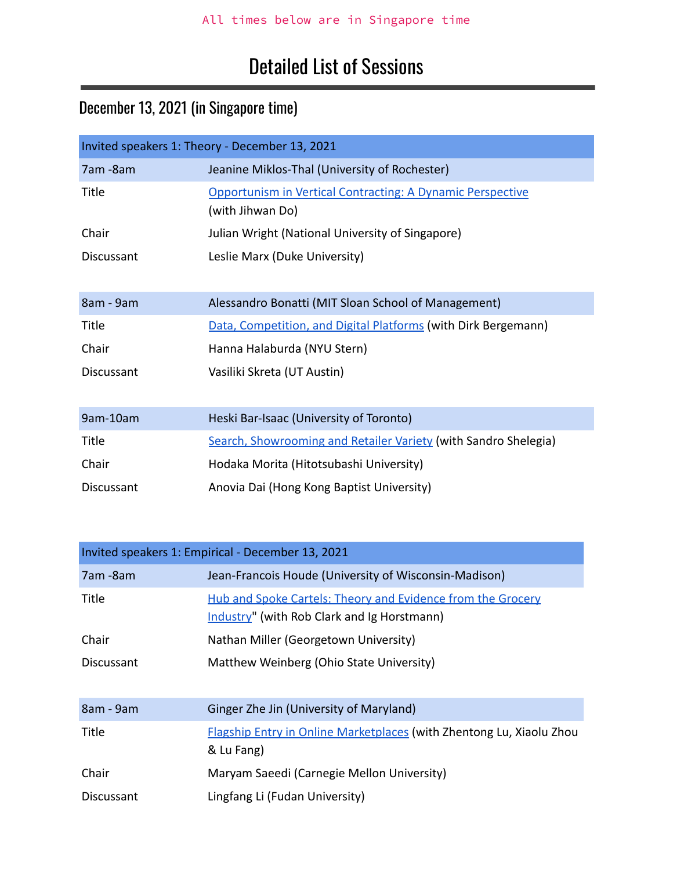# Detailed List of Sessions

# December 13, 2021 (in Singapore time)

<span id="page-3-0"></span>

| Invited speakers 1: Theory - December 13, 2021 |                                                                                |  |
|------------------------------------------------|--------------------------------------------------------------------------------|--|
| 7am - 8am                                      | Jeanine Miklos-Thal (University of Rochester)                                  |  |
| Title                                          | Opportunism in Vertical Contracting: A Dynamic Perspective<br>(with Jihwan Do) |  |
| Chair                                          | Julian Wright (National University of Singapore)                               |  |
| Discussant                                     | Leslie Marx (Duke University)                                                  |  |
| 8am - 9am                                      | Alessandro Bonatti (MIT Sloan School of Management)                            |  |
| Title                                          | Data, Competition, and Digital Platforms (with Dirk Bergemann)                 |  |
| Chair                                          | Hanna Halaburda (NYU Stern)                                                    |  |
| Discussant                                     | Vasiliki Skreta (UT Austin)                                                    |  |
| 9am-10am                                       | Heski Bar-Isaac (University of Toronto)                                        |  |
| Title                                          | Search, Showrooming and Retailer Variety (with Sandro Shelegia)                |  |
| Chair                                          | Hodaka Morita (Hitotsubashi University)                                        |  |
| Discussant                                     | Anovia Dai (Hong Kong Baptist University)                                      |  |

<span id="page-3-1"></span>

| Invited speakers 1: Empirical - December 13, 2021 |                                                                                                            |  |
|---------------------------------------------------|------------------------------------------------------------------------------------------------------------|--|
| 7am -8am                                          | Jean-Francois Houde (University of Wisconsin-Madison)                                                      |  |
| Title                                             | Hub and Spoke Cartels: Theory and Evidence from the Grocery<br>Industry" (with Rob Clark and Ig Horstmann) |  |
| Chair                                             | Nathan Miller (Georgetown University)                                                                      |  |
| Discussant                                        | Matthew Weinberg (Ohio State University)                                                                   |  |
| 8am - 9am                                         | Ginger Zhe Jin (University of Maryland)                                                                    |  |
| Title                                             | <b>Flagship Entry in Online Marketplaces (with Zhentong Lu, Xiaolu Zhou</b><br>& Lu Fang)                  |  |
| Chair                                             | Maryam Saeedi (Carnegie Mellon University)                                                                 |  |
| <b>Discussant</b>                                 | Lingfang Li (Fudan University)                                                                             |  |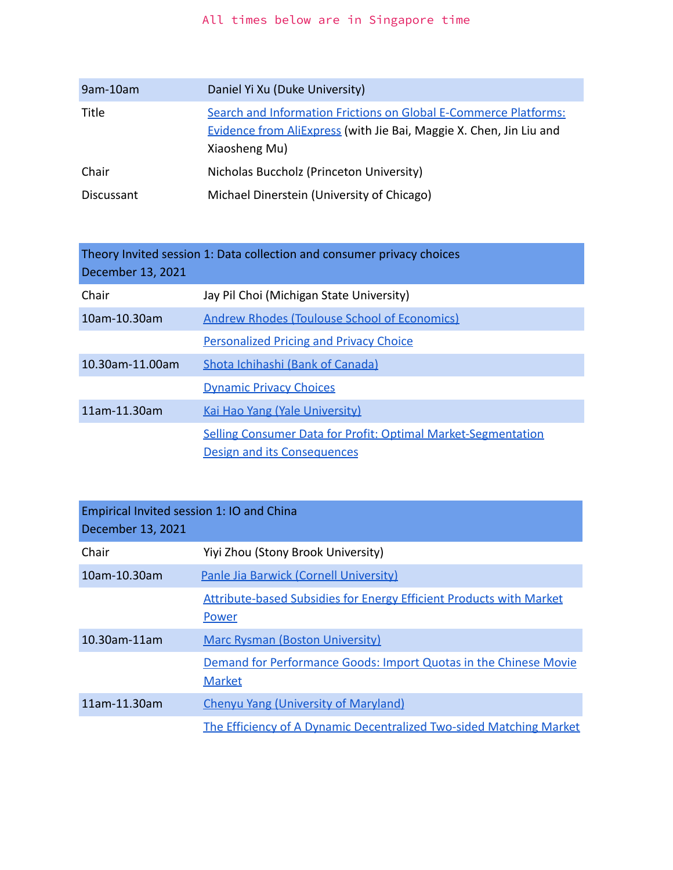| 9am-10am   | Daniel Yi Xu (Duke University)                                             |
|------------|----------------------------------------------------------------------------|
| Title      | Search and Information Frictions on Global E-Commerce Platforms:           |
|            | <b>Evidence from AliExpress (with Jie Bai, Maggie X. Chen, Jin Liu and</b> |
|            | Xiaosheng Mu)                                                              |
| Chair      | Nicholas Buccholz (Princeton University)                                   |
| Discussant | Michael Dinerstein (University of Chicago)                                 |

<span id="page-4-0"></span>Theory Invited session 1: Data collection and consumer privacy choices December 13, 2021

| Chair           | Jay Pil Choi (Michigan State University)                                                            |
|-----------------|-----------------------------------------------------------------------------------------------------|
| 10am-10.30am    | <b>Andrew Rhodes (Toulouse School of Economics)</b>                                                 |
|                 | <b>Personalized Pricing and Privacy Choice</b>                                                      |
| 10.30am-11.00am | Shota Ichihashi (Bank of Canada)                                                                    |
|                 | <b>Dynamic Privacy Choices</b>                                                                      |
| 11am-11.30am    | <b>Kai Hao Yang (Yale University)</b>                                                               |
|                 | <b>Selling Consumer Data for Profit: Optimal Market-Segmentation</b><br>Design and its Consequences |

<span id="page-4-1"></span>

| Empirical Invited session 1: IO and China<br>December 13, 2021 |                                                                                     |
|----------------------------------------------------------------|-------------------------------------------------------------------------------------|
| Chair                                                          | Yiyi Zhou (Stony Brook University)                                                  |
| 10am-10.30am                                                   | Panle Jia Barwick (Cornell University)                                              |
|                                                                | <b>Attribute-based Subsidies for Energy Efficient Products with Market</b><br>Power |
| 10.30am-11am                                                   | <b>Marc Rysman (Boston University)</b>                                              |
|                                                                | Demand for Performance Goods: Import Quotas in the Chinese Movie<br><b>Market</b>   |
| 11am-11.30am                                                   | <b>Chenyu Yang (University of Maryland)</b>                                         |
|                                                                | The Efficiency of A Dynamic Decentralized Two-sided Matching Market                 |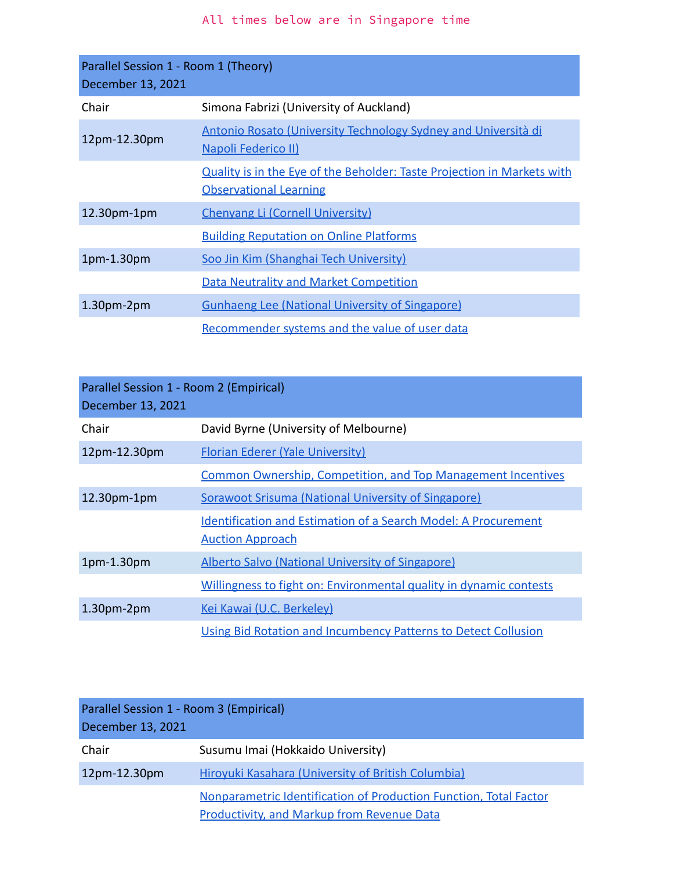<span id="page-5-0"></span>

| Parallel Session 1 - Room 1 (Theory)<br>December 13, 2021 |                                                                                                          |
|-----------------------------------------------------------|----------------------------------------------------------------------------------------------------------|
| Chair                                                     | Simona Fabrizi (University of Auckland)                                                                  |
| 12pm-12.30pm                                              | Antonio Rosato (University Technology Sydney and Università di<br>Napoli Federico II)                    |
|                                                           | Quality is in the Eye of the Beholder: Taste Projection in Markets with<br><b>Observational Learning</b> |
| 12.30pm-1pm                                               | Chenyang Li (Cornell University)                                                                         |
|                                                           | <b>Building Reputation on Online Platforms</b>                                                           |
| $1pm-1.30pm$                                              | Soo Jin Kim (Shanghai Tech University)                                                                   |
|                                                           | <b>Data Neutrality and Market Competition</b>                                                            |
| $1.30pm-2pm$                                              | <b>Gunhaeng Lee (National University of Singapore)</b>                                                   |
|                                                           | Recommender systems and the value of user data                                                           |

<span id="page-5-1"></span>

| Parallel Session 1 - Room 2 (Empirical) |                                                                       |  |
|-----------------------------------------|-----------------------------------------------------------------------|--|
| December 13, 2021                       |                                                                       |  |
| Chair                                   | David Byrne (University of Melbourne)                                 |  |
| 12pm-12.30pm                            | <b>Florian Ederer (Yale University)</b>                               |  |
|                                         | <b>Common Ownership, Competition, and Top Management Incentives</b>   |  |
| $12.30pm-1pm$                           | Sorawoot Srisuma (National University of Singapore)                   |  |
|                                         | <b>Identification and Estimation of a Search Model: A Procurement</b> |  |
|                                         | <b>Auction Approach</b>                                               |  |
| 1pm-1.30pm                              | <b>Alberto Salvo (National University of Singapore)</b>               |  |
|                                         | Willingness to fight on: Environmental quality in dynamic contests    |  |
| $1.30pm-2pm$                            | Kei Kawai (U.C. Berkeley)                                             |  |
|                                         | Using Bid Rotation and Incumbency Patterns to Detect Collusion        |  |

<span id="page-5-2"></span>

| Parallel Session 1 - Room 3 (Empirical)<br>December 13, 2021 |                                                                                                                        |
|--------------------------------------------------------------|------------------------------------------------------------------------------------------------------------------------|
| Chair                                                        | Susumu Imai (Hokkaido University)                                                                                      |
| 12pm-12.30pm                                                 | Hirovuki Kasahara (University of British Columbia)                                                                     |
|                                                              | Nonparametric Identification of Production Function, Total Factor<br><b>Productivity, and Markup from Revenue Data</b> |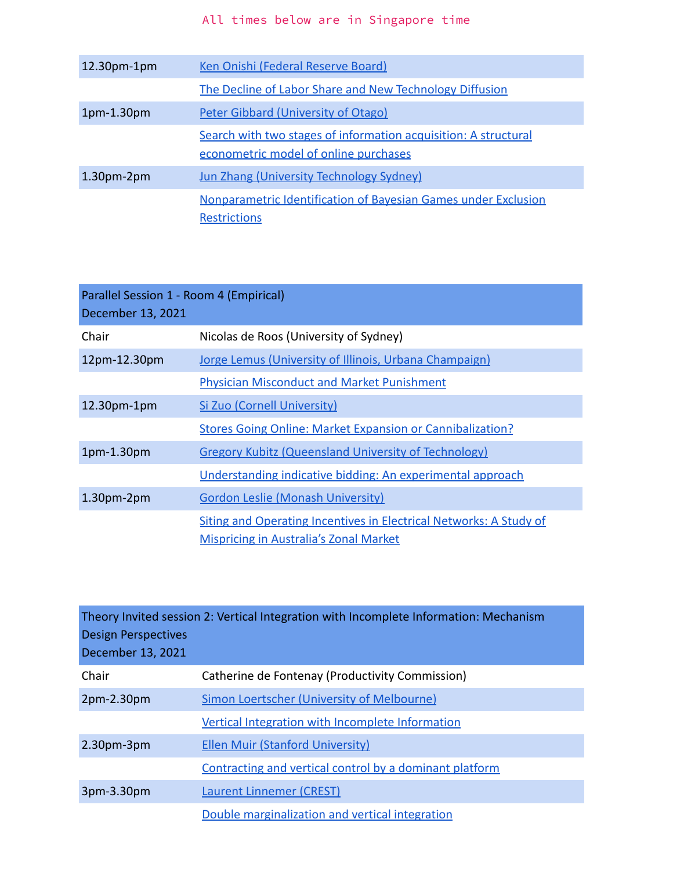| $12.30pm-1pm$ | Ken Onishi (Federal Reserve Board)                                                                       |
|---------------|----------------------------------------------------------------------------------------------------------|
|               | The Decline of Labor Share and New Technology Diffusion                                                  |
| $1pm-1.30pm$  | <b>Peter Gibbard (University of Otago)</b>                                                               |
|               | Search with two stages of information acquisition: A structural<br>econometric model of online purchases |
| $1.30pm-2pm$  | <b>Jun Zhang (University Technology Sydney)</b>                                                          |
|               | Nonparametric Identification of Bayesian Games under Exclusion<br><b>Restrictions</b>                    |

<span id="page-6-0"></span>

| Parallel Session 1 - Room 4 (Empirical)<br>December 13, 2021 |                                                                                                                     |
|--------------------------------------------------------------|---------------------------------------------------------------------------------------------------------------------|
| Chair                                                        | Nicolas de Roos (University of Sydney)                                                                              |
| 12pm-12.30pm                                                 | Jorge Lemus (University of Illinois, Urbana Champaign)                                                              |
|                                                              | <b>Physician Misconduct and Market Punishment</b>                                                                   |
| 12.30pm-1pm                                                  | Si Zuo (Cornell University)                                                                                         |
|                                                              | <b>Stores Going Online: Market Expansion or Cannibalization?</b>                                                    |
| 1pm-1.30pm                                                   | <b>Gregory Kubitz (Queensland University of Technology)</b>                                                         |
|                                                              | Understanding indicative bidding: An experimental approach                                                          |
| $1.30pm-2pm$                                                 | <b>Gordon Leslie (Monash University)</b>                                                                            |
|                                                              | Siting and Operating Incentives in Electrical Networks: A Study of<br><b>Mispricing in Australia's Zonal Market</b> |

<span id="page-6-1"></span>

| <b>Design Perspectives</b><br>December 13, 2021 | Theory Invited session 2: Vertical Integration with Incomplete Information: Mechanism |
|-------------------------------------------------|---------------------------------------------------------------------------------------|
| Chair                                           | Catherine de Fontenay (Productivity Commission)                                       |
| $2pm-2.30pm$                                    | Simon Loertscher (University of Melbourne)                                            |
|                                                 | Vertical Integration with Incomplete Information                                      |
| $2.30pm-3pm$                                    | <b>Ellen Muir (Stanford University)</b>                                               |
|                                                 | Contracting and vertical control by a dominant platform                               |
| $3pm-3.30pm$                                    | <b>Laurent Linnemer (CREST)</b>                                                       |
|                                                 | Double marginalization and vertical integration                                       |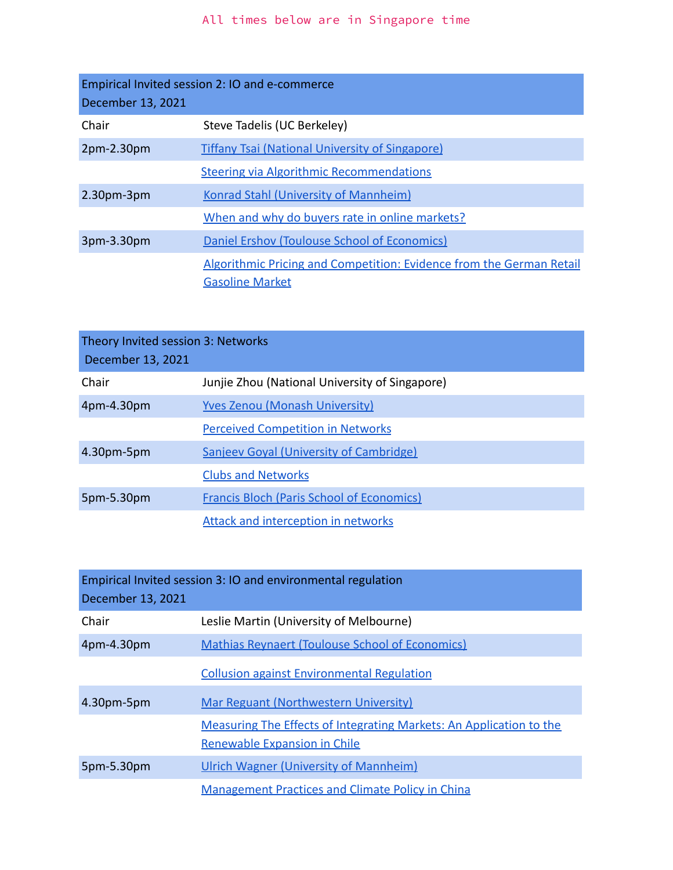<span id="page-7-0"></span>

| Empirical Invited session 2: IO and e-commerce<br>December 13, 2021 |                                                                                                |  |
|---------------------------------------------------------------------|------------------------------------------------------------------------------------------------|--|
| Chair                                                               | Steve Tadelis (UC Berkeley)                                                                    |  |
| $2pm-2.30pm$                                                        | <b>Tiffany Tsai (National University of Singapore)</b>                                         |  |
|                                                                     | <b>Steering via Algorithmic Recommendations</b>                                                |  |
| $2.30pm-3pm$                                                        | <b>Konrad Stahl (University of Mannheim)</b>                                                   |  |
|                                                                     | When and why do buyers rate in online markets?                                                 |  |
| 3pm-3.30pm                                                          | Daniel Ershov (Toulouse School of Economics)                                                   |  |
|                                                                     | Algorithmic Pricing and Competition: Evidence from the German Retail<br><b>Gasoline Market</b> |  |

<span id="page-7-1"></span>

| Theory Invited session 3: Networks<br>December 13, 2021 |                                                  |
|---------------------------------------------------------|--------------------------------------------------|
| Chair                                                   | Junjie Zhou (National University of Singapore)   |
| 4pm-4.30pm                                              | <b>Yves Zenou (Monash University)</b>            |
|                                                         | <b>Perceived Competition in Networks</b>         |
| 4.30pm-5pm                                              | Sanjeev Goyal (University of Cambridge)          |
|                                                         | <b>Clubs and Networks</b>                        |
| 5pm-5.30pm                                              | <b>Francis Bloch (Paris School of Economics)</b> |
|                                                         | <b>Attack and interception in networks</b>       |

<span id="page-7-2"></span>

| Empirical Invited session 3: IO and environmental regulation<br>December 13, 2021 |                                                                                                     |  |
|-----------------------------------------------------------------------------------|-----------------------------------------------------------------------------------------------------|--|
| Chair                                                                             | Leslie Martin (University of Melbourne)                                                             |  |
| 4pm-4.30pm                                                                        | <b>Mathias Reynaert (Toulouse School of Economics)</b>                                              |  |
|                                                                                   | <b>Collusion against Environmental Regulation</b>                                                   |  |
| 4.30pm-5pm                                                                        | Mar Reguant (Northwestern University)                                                               |  |
|                                                                                   | Measuring The Effects of Integrating Markets: An Application to the<br>Renewable Expansion in Chile |  |
| 5pm-5.30pm                                                                        | Ulrich Wagner (University of Mannheim)                                                              |  |
|                                                                                   | <b>Management Practices and Climate Policy in China</b>                                             |  |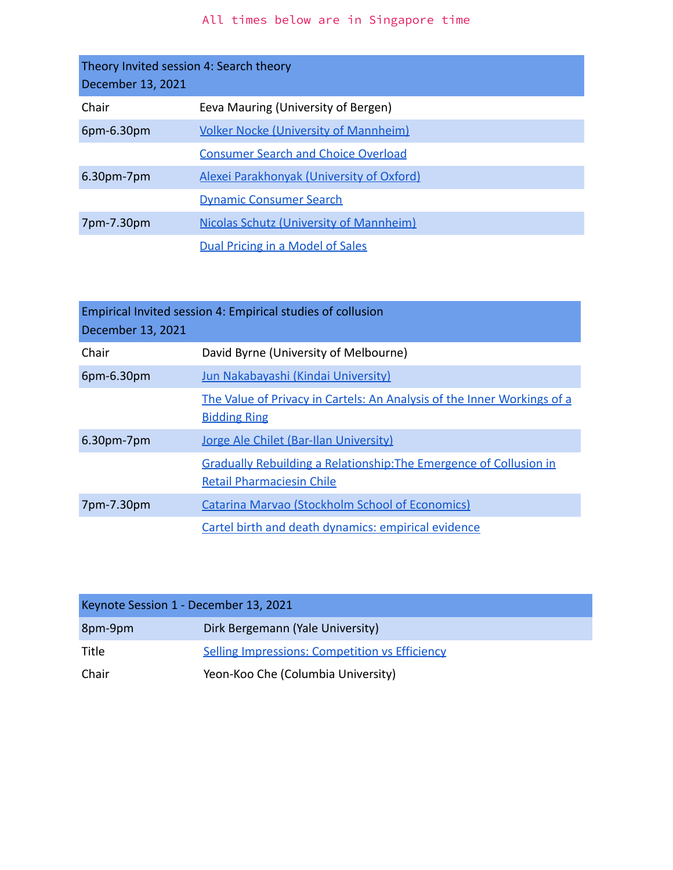<span id="page-8-0"></span>

| Theory Invited session 4: Search theory<br>December 13, 2021 |                                                |
|--------------------------------------------------------------|------------------------------------------------|
| Chair                                                        | Eeva Mauring (University of Bergen)            |
| $6$ pm $-6.30$ pm                                            | <b>Volker Nocke (University of Mannheim)</b>   |
|                                                              | <b>Consumer Search and Choice Overload</b>     |
| $6.30pm$ -7pm                                                | Alexei Parakhonyak (University of Oxford)      |
|                                                              | <b>Dynamic Consumer Search</b>                 |
| 7pm-7.30pm                                                   | <b>Nicolas Schutz (University of Mannheim)</b> |
|                                                              | Dual Pricing in a Model of Sales               |

<span id="page-8-1"></span>

| Empirical Invited session 4: Empirical studies of collusion<br>December 13, 2021 |                                                                                                               |  |
|----------------------------------------------------------------------------------|---------------------------------------------------------------------------------------------------------------|--|
| Chair                                                                            | David Byrne (University of Melbourne)                                                                         |  |
| 6pm-6.30pm                                                                       | Jun Nakabayashi (Kindai University)                                                                           |  |
|                                                                                  | The Value of Privacy in Cartels: An Analysis of the Inner Workings of a<br><b>Bidding Ring</b>                |  |
| $6.30pm$ -7pm                                                                    | Jorge Ale Chilet (Bar-Ilan University)                                                                        |  |
|                                                                                  | <b>Gradually Rebuilding a Relationship: The Emergence of Collusion in</b><br><b>Retail Pharmaciesin Chile</b> |  |
| 7pm-7.30pm                                                                       | <b>Catarina Marvao (Stockholm School of Economics)</b>                                                        |  |
|                                                                                  | Cartel birth and death dynamics: empirical evidence                                                           |  |

<span id="page-8-2"></span>

| Keynote Session 1 - December 13, 2021 |                                                       |
|---------------------------------------|-------------------------------------------------------|
| 8pm-9pm                               | Dirk Bergemann (Yale University)                      |
| Title                                 | <b>Selling Impressions: Competition vs Efficiency</b> |
| Chair                                 | Yeon-Koo Che (Columbia University)                    |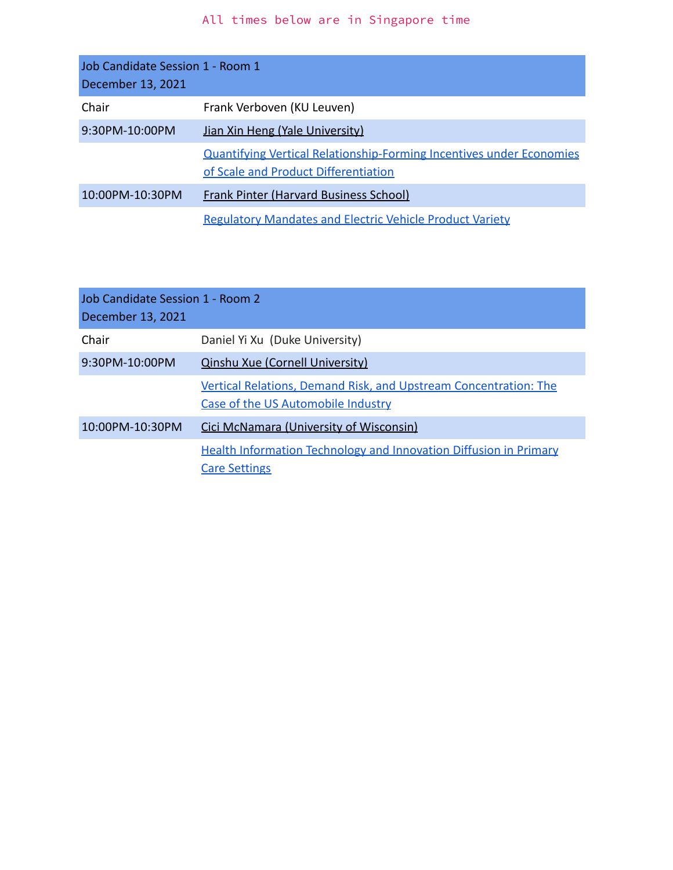<span id="page-9-0"></span>

| Job Candidate Session 1 - Room 1<br>December 13, 2021 |                                                                                                                     |
|-------------------------------------------------------|---------------------------------------------------------------------------------------------------------------------|
| Chair                                                 | Frank Verboven (KU Leuven)                                                                                          |
| $9:30PM - 10:00PM$                                    | Jian Xin Heng (Yale University)                                                                                     |
|                                                       | <b>Quantifying Vertical Relationship-Forming Incentives under Economies</b><br>of Scale and Product Differentiation |
| 10:00PM-10:30PM                                       | <b>Frank Pinter (Harvard Business School)</b>                                                                       |
|                                                       | <b>Regulatory Mandates and Electric Vehicle Product Variety</b>                                                     |

<span id="page-9-1"></span>

| Job Candidate Session 1 - Room 2<br>December 13, 2021 |                                                                                                        |  |
|-------------------------------------------------------|--------------------------------------------------------------------------------------------------------|--|
| Chair                                                 | Daniel Yi Xu (Duke University)                                                                         |  |
| 9:30PM-10:00PM                                        | <b>Qinshu Xue (Cornell University)</b>                                                                 |  |
|                                                       | Vertical Relations, Demand Risk, and Upstream Concentration: The<br>Case of the US Automobile Industry |  |
| 10:00PM-10:30PM                                       | Cici McNamara (University of Wisconsin)                                                                |  |
|                                                       | <b>Health Information Technology and Innovation Diffusion in Primary</b><br><b>Care Settings</b>       |  |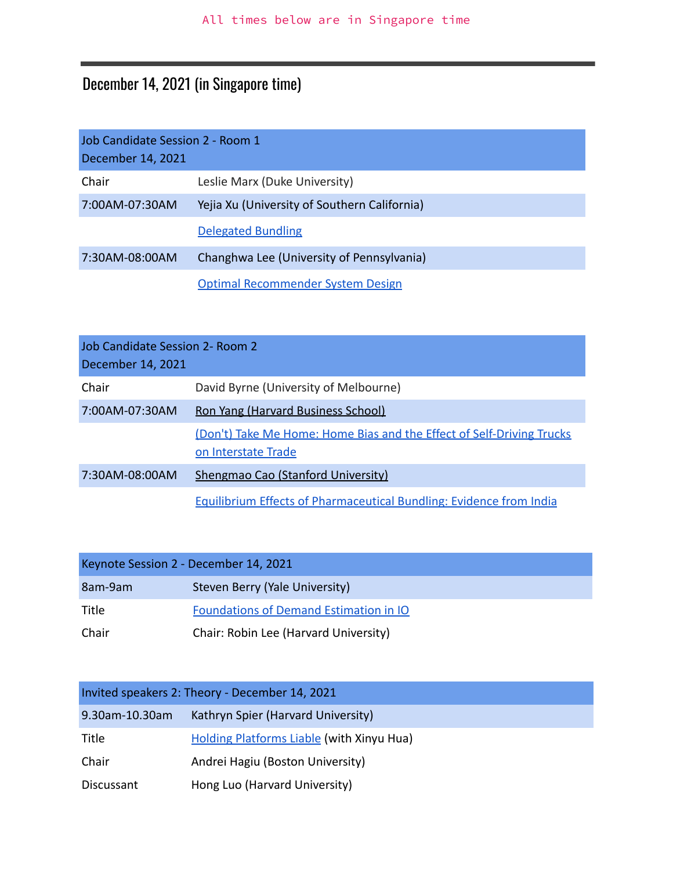# December 14, 2021 (in Singapore time)

<span id="page-10-0"></span>

| Job Candidate Session 2 - Room 1<br>December 14, 2021 |                                              |
|-------------------------------------------------------|----------------------------------------------|
| Chair                                                 | Leslie Marx (Duke University)                |
| 7:00AM-07:30AM                                        | Yejia Xu (University of Southern California) |
|                                                       | <b>Delegated Bundling</b>                    |
| 7:30AM-08:00AM                                        | Changhwa Lee (University of Pennsylvania)    |
|                                                       | Optimal Recommender System Design            |

<span id="page-10-1"></span>

| Job Candidate Session 2- Room 2<br>December 14, 2021 |                                                                                              |
|------------------------------------------------------|----------------------------------------------------------------------------------------------|
| Chair                                                | David Byrne (University of Melbourne)                                                        |
| 7:00AM-07:30AM                                       | Ron Yang (Harvard Business School)                                                           |
|                                                      | (Don't) Take Me Home: Home Bias and the Effect of Self-Driving Trucks<br>on Interstate Trade |
| 7:30AM-08:00AM                                       | Shengmao Cao (Stanford University)                                                           |
|                                                      | <b>Equilibrium Effects of Pharmaceutical Bundling: Evidence from India</b>                   |

<span id="page-10-2"></span>

| Keynote Session 2 - December 14, 2021 |                                        |
|---------------------------------------|----------------------------------------|
| 8am-9am                               | Steven Berry (Yale University)         |
| Title                                 | Foundations of Demand Estimation in IO |
| Chair                                 | Chair: Robin Lee (Harvard University)  |

<span id="page-10-3"></span>

| Invited speakers 2: Theory - December 14, 2021 |                                                  |
|------------------------------------------------|--------------------------------------------------|
| 9.30am-10.30am                                 | Kathryn Spier (Harvard University)               |
| Title                                          | <b>Holding Platforms Liable (with Xinyu Hua)</b> |
| Chair                                          | Andrei Hagiu (Boston University)                 |
| Discussant                                     | Hong Luo (Harvard University)                    |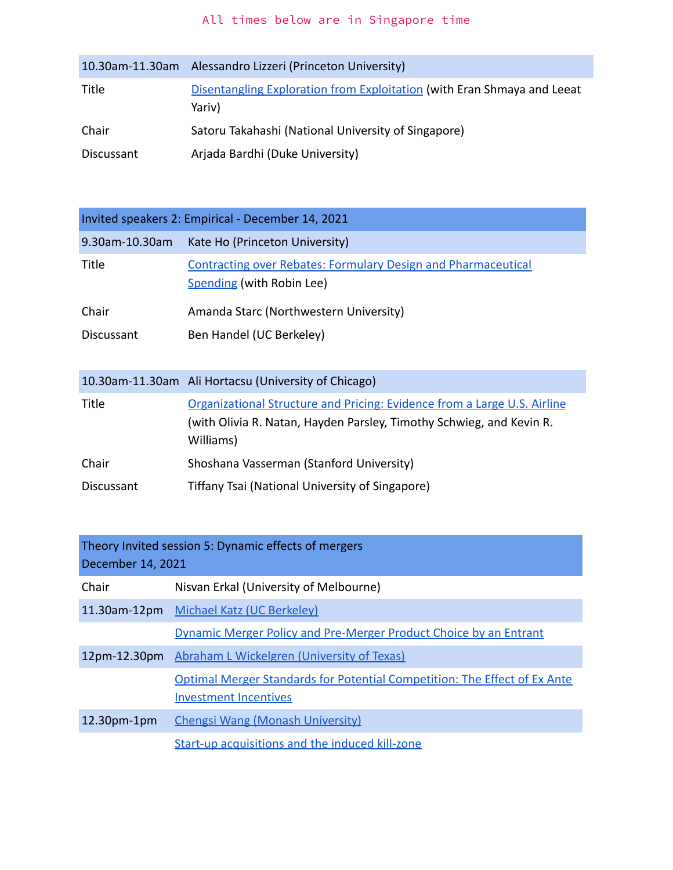| 10.30am-11.30am | Alessandro Lizzeri (Princeton University)                                         |
|-----------------|-----------------------------------------------------------------------------------|
| Title           | Disentangling Exploration from Exploitation (with Eran Shmaya and Leeat<br>Yariv) |
| Chair           | Satoru Takahashi (National University of Singapore)                               |
| Discussant      | Arjada Bardhi (Duke University)                                                   |

<span id="page-11-0"></span>

| Invited speakers 2: Empirical - December 14, 2021 |                                                                                                                                                               |  |
|---------------------------------------------------|---------------------------------------------------------------------------------------------------------------------------------------------------------------|--|
| 9.30am-10.30am                                    | Kate Ho (Princeton University)                                                                                                                                |  |
| Title                                             | <b>Contracting over Rebates: Formulary Design and Pharmaceutical</b><br>Spending (with Robin Lee)                                                             |  |
| Chair                                             | Amanda Starc (Northwestern University)                                                                                                                        |  |
| Discussant                                        | Ben Handel (UC Berkeley)                                                                                                                                      |  |
|                                                   | 10.30am-11.30am Ali Hortacsu (University of Chicago)                                                                                                          |  |
| <b>Title</b>                                      | Organizational Structure and Pricing: Evidence from a Large U.S. Airline<br>(with Olivia R. Natan, Hayden Parsley, Timothy Schwieg, and Kevin R.<br>Williams) |  |
| Chair                                             | Shoshana Vasserman (Stanford University)                                                                                                                      |  |
| Discussant                                        | Tiffany Tsai (National University of Singapore)                                                                                                               |  |

<span id="page-11-1"></span>

| Theory Invited session 5: Dynamic effects of mergers<br>December 14, 2021 |                                                                                                                   |
|---------------------------------------------------------------------------|-------------------------------------------------------------------------------------------------------------------|
| Chair                                                                     | Nisvan Erkal (University of Melbourne)                                                                            |
|                                                                           | 11.30am-12pm Michael Katz (UC Berkeley)                                                                           |
|                                                                           | Dynamic Merger Policy and Pre-Merger Product Choice by an Entrant                                                 |
| 12pm-12.30pm                                                              | Abraham L Wickelgren (University of Texas)                                                                        |
|                                                                           | <b>Optimal Merger Standards for Potential Competition: The Effect of Ex Anter</b><br><b>Investment Incentives</b> |
| $12.30pm-1pm$                                                             | Chengsi Wang (Monash University)                                                                                  |
|                                                                           | Start-up acquisitions and the induced kill-zone                                                                   |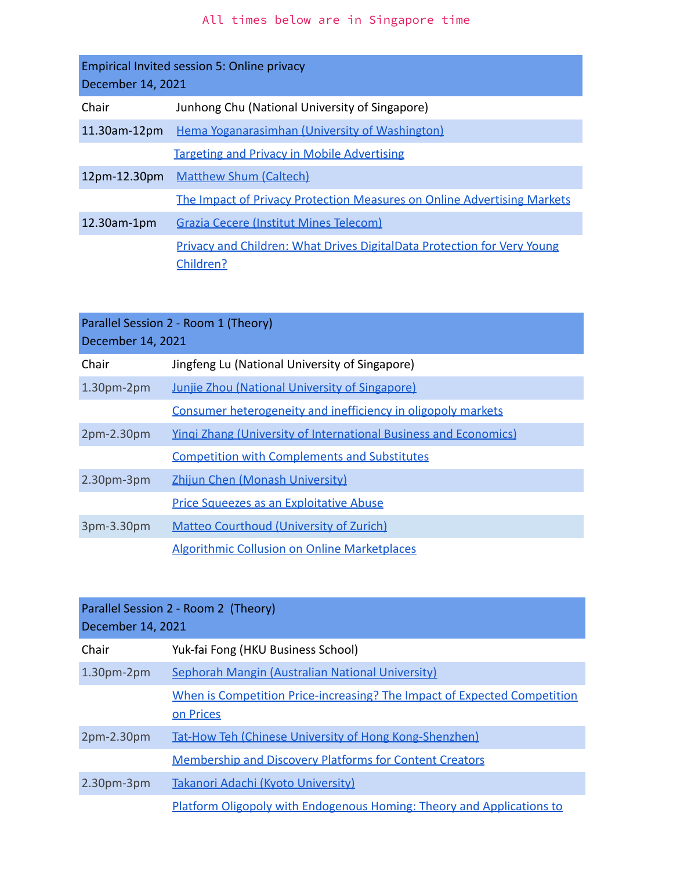<span id="page-12-0"></span>

| <b>Empirical Invited session 5: Online privacy</b><br>December 14, 2021 |                                                                                             |
|-------------------------------------------------------------------------|---------------------------------------------------------------------------------------------|
| Chair                                                                   | Junhong Chu (National University of Singapore)                                              |
| 11.30am-12pm                                                            | Hema Yoganarasimhan (University of Washington)                                              |
|                                                                         | <b>Targeting and Privacy in Mobile Advertising</b>                                          |
| $12pm-12.30pm$                                                          | <b>Matthew Shum (Caltech)</b>                                                               |
|                                                                         | The Impact of Privacy Protection Measures on Online Advertising Markets                     |
| $12.30$ am-1 $pm$                                                       | <b>Grazia Cecere (Institut Mines Telecom)</b>                                               |
|                                                                         | <b>Privacy and Children: What Drives DigitalData Protection for Very Young</b><br>Children? |

<span id="page-12-1"></span>

| Parallel Session 2 - Room 1 (Theory) |                                                                         |
|--------------------------------------|-------------------------------------------------------------------------|
| December 14, 2021                    |                                                                         |
| Chair                                | Jingfeng Lu (National University of Singapore)                          |
| $1.30pm-2pm$                         | <b>Junjie Zhou (National University of Singapore)</b>                   |
|                                      | Consumer heterogeneity and inefficiency in oligopoly markets            |
| $2pm-2.30pm$                         | <b>Yingi Zhang (University of International Business and Economics)</b> |
|                                      | <b>Competition with Complements and Substitutes</b>                     |
| $2.30pm-3pm$                         | Zhijun Chen (Monash University)                                         |
|                                      | <b>Price Squeezes as an Exploitative Abuse</b>                          |
| 3pm-3.30pm                           | <b>Matteo Courthoud (University of Zurich)</b>                          |
|                                      | <b>Algorithmic Collusion on Online Marketplaces</b>                     |

<span id="page-12-2"></span>

| Parallel Session 2 - Room 2 (Theory)<br>December 14, 2021 |                                                                                       |
|-----------------------------------------------------------|---------------------------------------------------------------------------------------|
| Chair                                                     | Yuk-fai Fong (HKU Business School)                                                    |
| $1.30pm-2pm$                                              | Sephorah Mangin (Australian National University)                                      |
|                                                           | When is Competition Price-increasing? The Impact of Expected Competition<br>on Prices |
| $2pm-2.30pm$                                              | <b>Tat-How Teh (Chinese University of Hong Kong-Shenzhen)</b>                         |
|                                                           | <b>Membership and Discovery Platforms for Content Creators</b>                        |
| $2.30pm-3pm$                                              | Takanori Adachi (Kyoto University)                                                    |
|                                                           | <b>Platform Oligopoly with Endogenous Homing: Theory and Applications to</b>          |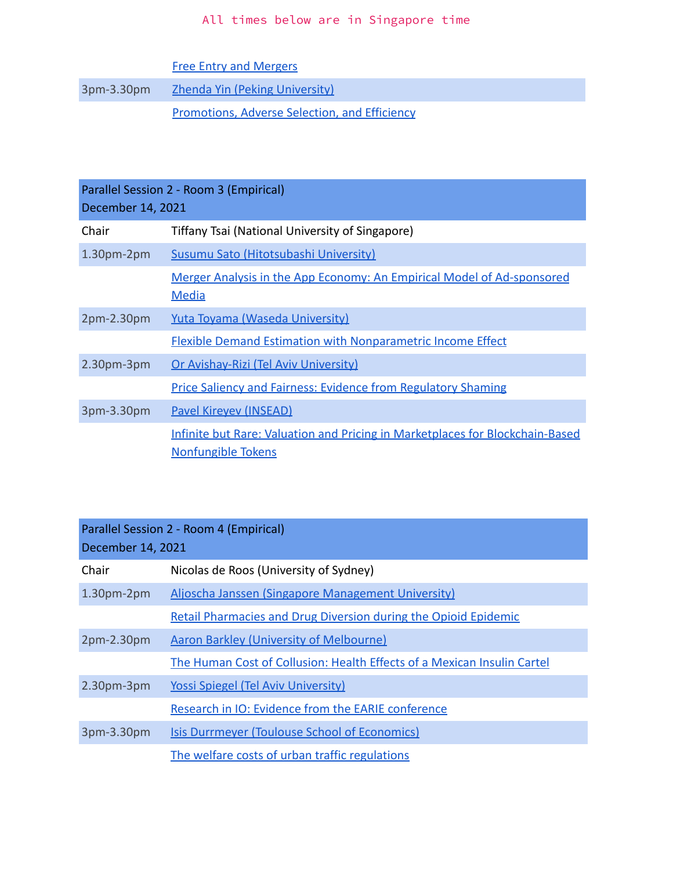[Free Entry and Mergers](https://www.dropbox.com/s/crxwp2dis3vhx0f/Takanori%20Adachi.pdf?dl=0)

3pm-3.30pm <u>[Zhenda Yin \(Peking University\)](http://yinecon.weebly.com/)</u>

[Promotions, Adverse Selection, and Efficiency](https://www.apioc2021.sg/wp-content/uploads/2021/papers/14dec/Parallel_Session/08_Zhenda%20Yin_v2.pdf)

<span id="page-13-0"></span>

| Parallel Session 2 - Room 3 (Empirical)<br>December 14, 2021 |                                                                                                     |  |
|--------------------------------------------------------------|-----------------------------------------------------------------------------------------------------|--|
| Chair                                                        | Tiffany Tsai (National University of Singapore)                                                     |  |
| $1.30pm-2pm$                                                 | Susumu Sato (Hitotsubashi University)                                                               |  |
|                                                              | Merger Analysis in the App Economy: An Empirical Model of Ad-sponsored<br>Media                     |  |
| $2pm-2.30pm$                                                 | Yuta Toyama (Waseda University)                                                                     |  |
|                                                              | <b>Flexible Demand Estimation with Nonparametric Income Effect</b>                                  |  |
| $2.30pm-3pm$                                                 | Or Avishay-Rizi (Tel Aviv University)                                                               |  |
|                                                              | <b>Price Saliency and Fairness: Evidence from Regulatory Shaming</b>                                |  |
| 3pm-3.30pm                                                   | <b>Pavel Kirevey (INSEAD)</b>                                                                       |  |
|                                                              | Infinite but Rare: Valuation and Pricing in Marketplaces for Blockchain-Based<br>Nonfungible Tokens |  |

<span id="page-13-1"></span>

| Parallel Session 2 - Room 4 (Empirical)<br>December 14, 2021 |                                                                         |
|--------------------------------------------------------------|-------------------------------------------------------------------------|
| Chair                                                        | Nicolas de Roos (University of Sydney)                                  |
| $1.30pm-2pm$                                                 | Aljoscha Janssen (Singapore Management University)                      |
|                                                              | <b>Retail Pharmacies and Drug Diversion during the Opioid Epidemic</b>  |
| $2pm-2.30pm$                                                 | <b>Aaron Barkley (University of Melbourne)</b>                          |
|                                                              | The Human Cost of Collusion: Health Effects of a Mexican Insulin Cartel |
| $2.30pm-3pm$                                                 | <b>Yossi Spiegel (Tel Aviv University)</b>                              |
|                                                              | Research in IO: Evidence from the EARIE conference                      |
| 3pm-3.30pm                                                   | <b>Isis Durrmeyer (Toulouse School of Economics)</b>                    |
|                                                              | The welfare costs of urban traffic regulations                          |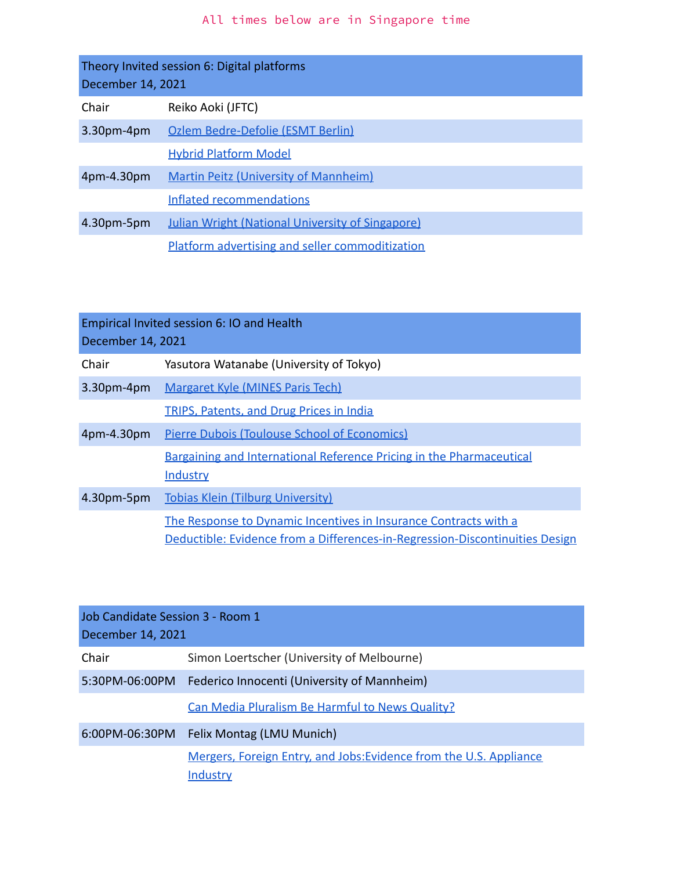<span id="page-14-0"></span>

| Theory Invited session 6: Digital platforms<br>December 14, 2021 |                                                         |
|------------------------------------------------------------------|---------------------------------------------------------|
| Chair                                                            | Reiko Aoki (JFTC)                                       |
| 3.30pm-4pm                                                       | Ozlem Bedre-Defolie (ESMT Berlin)                       |
|                                                                  | <b>Hybrid Platform Model</b>                            |
| 4pm-4.30pm                                                       | <b>Martin Peitz (University of Mannheim)</b>            |
|                                                                  | Inflated recommendations                                |
| 4.30pm-5pm                                                       | <b>Julian Wright (National University of Singapore)</b> |
|                                                                  | Platform advertising and seller commoditization         |

<span id="page-14-1"></span>

| Empirical Invited session 6: IO and Health<br>December 14, 2021 |                                                                                                                                                  |
|-----------------------------------------------------------------|--------------------------------------------------------------------------------------------------------------------------------------------------|
| Chair                                                           | Yasutora Watanabe (University of Tokyo)                                                                                                          |
| 3.30pm-4pm                                                      | <b>Margaret Kyle (MINES Paris Tech)</b>                                                                                                          |
|                                                                 | <b>TRIPS, Patents, and Drug Prices in India</b>                                                                                                  |
| 4pm-4.30pm                                                      | <b>Pierre Dubois (Toulouse School of Economics)</b>                                                                                              |
|                                                                 | <b>Bargaining and International Reference Pricing in the Pharmaceutical</b><br>Industry                                                          |
| 4.30pm-5pm                                                      | <b>Tobias Klein (Tilburg University)</b>                                                                                                         |
|                                                                 | The Response to Dynamic Incentives in Insurance Contracts with a<br>Deductible: Evidence from a Differences-in-Regression-Discontinuities Design |

<span id="page-14-2"></span>

| Job Candidate Session 3 - Room 1<br>December 14, 2021 |                                                                                |
|-------------------------------------------------------|--------------------------------------------------------------------------------|
| Chair                                                 | Simon Loertscher (University of Melbourne)                                     |
|                                                       | 5:30PM-06:00PM Federico Innocenti (University of Mannheim)                     |
|                                                       | Can Media Pluralism Be Harmful to News Quality?                                |
|                                                       | 6:00PM-06:30PM Felix Montag (LMU Munich)                                       |
|                                                       | Mergers, Foreign Entry, and Jobs: Evidence from the U.S. Appliance<br>Industry |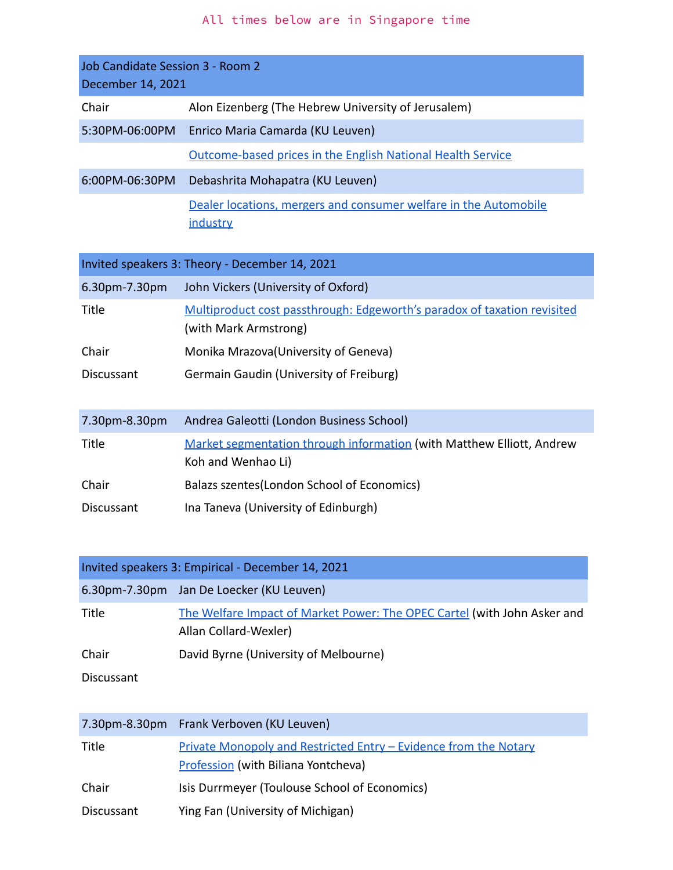<span id="page-15-1"></span><span id="page-15-0"></span>

| Job Candidate Session 3 - Room 2<br>December 14, 2021 |                                                                                                   |  |  |  |
|-------------------------------------------------------|---------------------------------------------------------------------------------------------------|--|--|--|
| Chair                                                 | Alon Eizenberg (The Hebrew University of Jerusalem)                                               |  |  |  |
| 5:30PM-06:00PM                                        | Enrico Maria Camarda (KU Leuven)                                                                  |  |  |  |
|                                                       | Outcome-based prices in the English National Health Service                                       |  |  |  |
| 6:00PM-06:30PM                                        | Debashrita Mohapatra (KU Leuven)                                                                  |  |  |  |
|                                                       | Dealer locations, mergers and consumer welfare in the Automobile<br>industry                      |  |  |  |
|                                                       | Invited speakers 3: Theory - December 14, 2021                                                    |  |  |  |
| 6.30pm-7.30pm                                         | John Vickers (University of Oxford)                                                               |  |  |  |
| Title                                                 | Multiproduct cost passthrough: Edgeworth's paradox of taxation revisited<br>(with Mark Armstrong) |  |  |  |
| Chair                                                 | Monika Mrazova (University of Geneva)                                                             |  |  |  |
| <b>Discussant</b>                                     | Germain Gaudin (University of Freiburg)                                                           |  |  |  |
| 7.30pm-8.30pm                                         | Andrea Galeotti (London Business School)                                                          |  |  |  |
| Title                                                 | Market segmentation through information (with Matthew Elliott, Andrew<br>Koh and Wenhao Li)       |  |  |  |
| Chair                                                 | Balazs szentes (London School of Economics)                                                       |  |  |  |
| <b>Discussant</b>                                     | Ina Taneva (University of Edinburgh)                                                              |  |  |  |

<span id="page-15-2"></span>

| Invited speakers 3: Empirical - December 14, 2021 |                                                                                                   |  |  |
|---------------------------------------------------|---------------------------------------------------------------------------------------------------|--|--|
|                                                   | 6.30pm-7.30pm Jan De Loecker (KU Leuven)                                                          |  |  |
| Title                                             | The Welfare Impact of Market Power: The OPEC Cartel (with John Asker and<br>Allan Collard-Wexler) |  |  |
| Chair                                             | David Byrne (University of Melbourne)                                                             |  |  |
| Discussant                                        |                                                                                                   |  |  |

|            | 7.30pm-8.30pm Frank Verboven (KU Leuven)                                                                       |
|------------|----------------------------------------------------------------------------------------------------------------|
| Title      | <u>Private Monopoly and Restricted Entry – Evidence from the Notary</u><br>Profession (with Biliana Yontcheva) |
| Chair      | Isis Durrmeyer (Toulouse School of Economics)                                                                  |
| Discussant | Ying Fan (University of Michigan)                                                                              |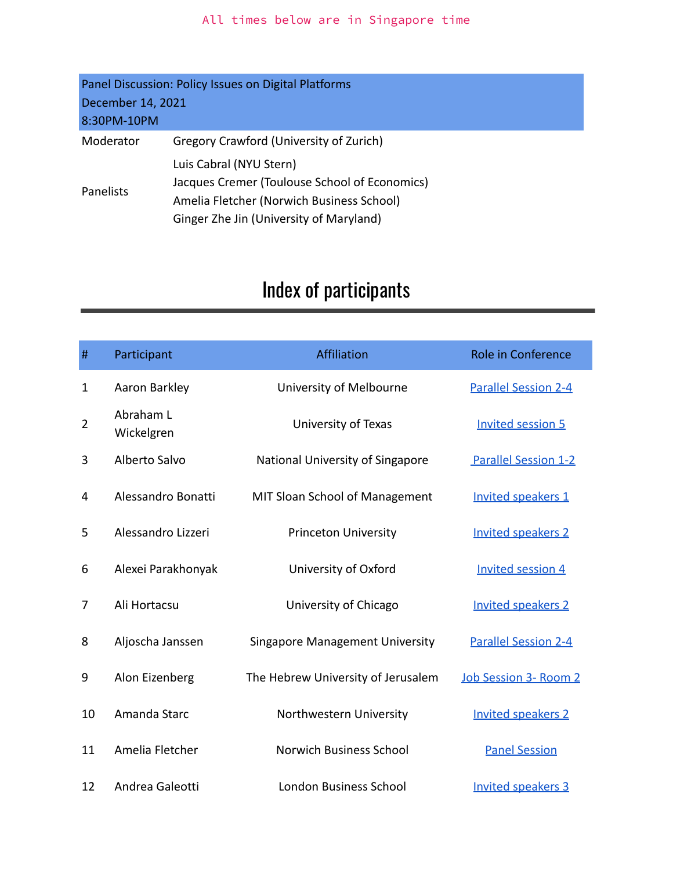<span id="page-16-0"></span>

| Panel Discussion: Policy Issues on Digital Platforms |                                                                                                                                                                  |  |  |
|------------------------------------------------------|------------------------------------------------------------------------------------------------------------------------------------------------------------------|--|--|
| December 14, 2021                                    |                                                                                                                                                                  |  |  |
| 8:30PM-10PM                                          |                                                                                                                                                                  |  |  |
| Moderator                                            | Gregory Crawford (University of Zurich)                                                                                                                          |  |  |
| Panelists                                            | Luis Cabral (NYU Stern)<br>Jacques Cremer (Toulouse School of Economics)<br>Amelia Fletcher (Norwich Business School)<br>Ginger Zhe Jin (University of Maryland) |  |  |

# Index of participants

| #              | Participant             | Affiliation                            | Role in Conference          |
|----------------|-------------------------|----------------------------------------|-----------------------------|
| 1              | Aaron Barkley           | University of Melbourne                | <b>Parallel Session 2-4</b> |
| $\overline{2}$ | Abraham L<br>Wickelgren | University of Texas                    | <b>Invited session 5</b>    |
| 3              | Alberto Salvo           | National University of Singapore       | <b>Parallel Session 1-2</b> |
| 4              | Alessandro Bonatti      | MIT Sloan School of Management         | Invited speakers 1          |
| 5              | Alessandro Lizzeri      | <b>Princeton University</b>            | <b>Invited speakers 2</b>   |
| 6              | Alexei Parakhonyak      | University of Oxford                   | <b>Invited session 4</b>    |
| 7              | Ali Hortacsu            | University of Chicago                  | <b>Invited speakers 2</b>   |
| 8              | Aljoscha Janssen        | <b>Singapore Management University</b> | <b>Parallel Session 2-4</b> |
| 9              | Alon Eizenberg          | The Hebrew University of Jerusalem     | Job Session 3- Room 2       |
| 10             | Amanda Starc            | Northwestern University                | <b>Invited speakers 2</b>   |
| 11             | Amelia Fletcher         | <b>Norwich Business School</b>         | <b>Panel Session</b>        |
| 12             | Andrea Galeotti         | <b>London Business School</b>          | <b>Invited speakers 3</b>   |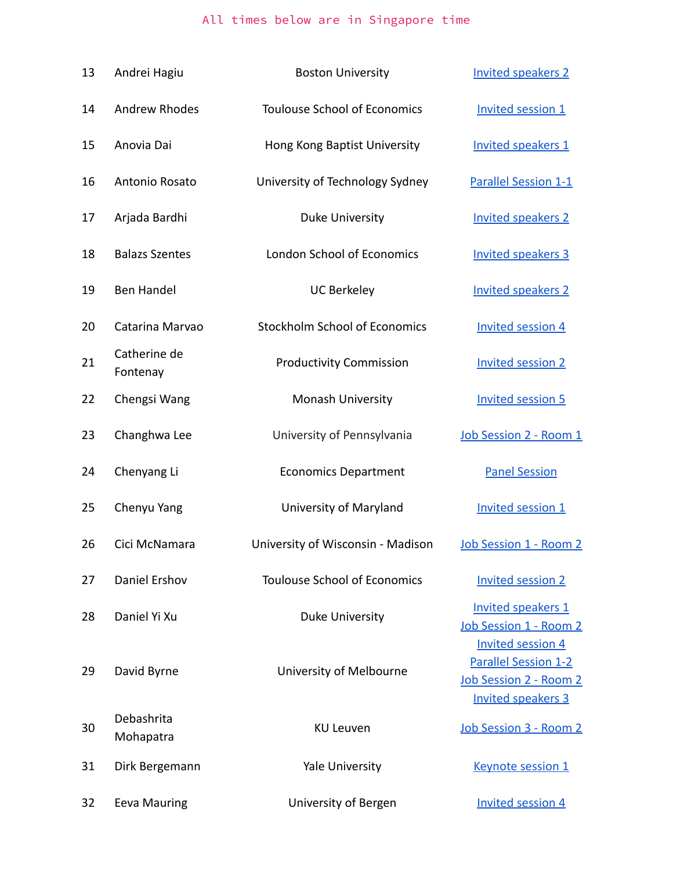| 13 | Andrei Hagiu             | <b>Boston University</b>             | <b>Invited speakers 2</b>                                                          |
|----|--------------------------|--------------------------------------|------------------------------------------------------------------------------------|
| 14 | <b>Andrew Rhodes</b>     | <b>Toulouse School of Economics</b>  | <b>Invited session 1</b>                                                           |
| 15 | Anovia Dai               | Hong Kong Baptist University         | Invited speakers 1                                                                 |
| 16 | Antonio Rosato           | University of Technology Sydney      | <b>Parallel Session 1-1</b>                                                        |
| 17 | Arjada Bardhi            | <b>Duke University</b>               | <b>Invited speakers 2</b>                                                          |
| 18 | <b>Balazs Szentes</b>    | <b>London School of Economics</b>    | <b>Invited speakers 3</b>                                                          |
| 19 | <b>Ben Handel</b>        | <b>UC Berkeley</b>                   | <b>Invited speakers 2</b>                                                          |
| 20 | Catarina Marvao          | <b>Stockholm School of Economics</b> | <b>Invited session 4</b>                                                           |
| 21 | Catherine de<br>Fontenay | <b>Productivity Commission</b>       | <b>Invited session 2</b>                                                           |
| 22 | Chengsi Wang             | Monash University                    | <b>Invited session 5</b>                                                           |
| 23 | Changhwa Lee             | University of Pennsylvania           | Job Session 2 - Room 1                                                             |
| 24 | Chenyang Li              | <b>Economics Department</b>          | <b>Panel Session</b>                                                               |
| 25 | Chenyu Yang              | University of Maryland               | <b>Invited session 1</b>                                                           |
| 26 | Cici McNamara            | University of Wisconsin - Madison    | Job Session 1 - Room 2                                                             |
| 27 | Daniel Ershov            | <b>Toulouse School of Economics</b>  | <b>Invited session 2</b>                                                           |
| 28 | Daniel Yi Xu             | <b>Duke University</b>               | Invited speakers 1<br>Job Session 1 - Room 2<br><b>Invited session 4</b>           |
| 29 | David Byrne              | University of Melbourne              | <b>Parallel Session 1-2</b><br>Job Session 2 - Room 2<br><b>Invited speakers 3</b> |
| 30 | Debashrita<br>Mohapatra  | <b>KU Leuven</b>                     | Job Session 3 - Room 2                                                             |
| 31 | Dirk Bergemann           | Yale University                      | <b>Keynote session 1</b>                                                           |
| 32 | <b>Eeva Mauring</b>      | University of Bergen                 | <b>Invited session 4</b>                                                           |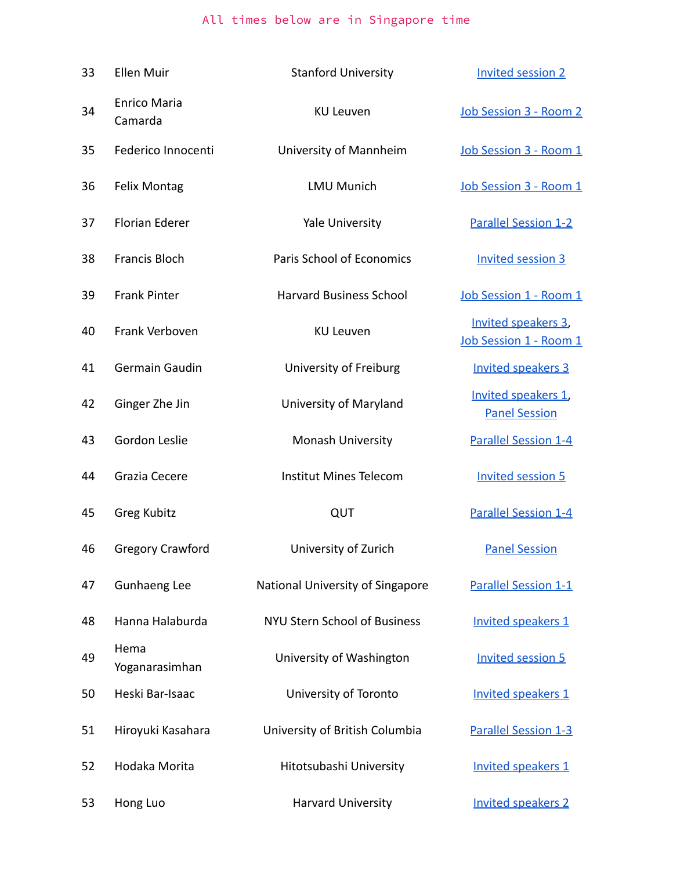| 33 | <b>Ellen Muir</b>              | <b>Stanford University</b>          | <b>Invited session 2</b>                      |
|----|--------------------------------|-------------------------------------|-----------------------------------------------|
| 34 | <b>Enrico Maria</b><br>Camarda | <b>KU Leuven</b>                    | Job Session 3 - Room 2                        |
| 35 | Federico Innocenti             | University of Mannheim              | Job Session 3 - Room 1                        |
| 36 | <b>Felix Montag</b>            | <b>LMU Munich</b>                   | Job Session 3 - Room 1                        |
| 37 | <b>Florian Ederer</b>          | <b>Yale University</b>              | <b>Parallel Session 1-2</b>                   |
| 38 | <b>Francis Bloch</b>           | Paris School of Economics           | <b>Invited session 3</b>                      |
| 39 | <b>Frank Pinter</b>            | <b>Harvard Business School</b>      | Job Session 1 - Room 1                        |
| 40 | Frank Verboven                 | <b>KU Leuven</b>                    | Invited speakers 3,<br>Job Session 1 - Room 1 |
| 41 | Germain Gaudin                 | University of Freiburg              | <b>Invited speakers 3</b>                     |
| 42 | Ginger Zhe Jin                 | University of Maryland              | Invited speakers 1,<br><b>Panel Session</b>   |
| 43 | Gordon Leslie                  | Monash University                   | <b>Parallel Session 1-4</b>                   |
| 44 | Grazia Cecere                  | <b>Institut Mines Telecom</b>       | <b>Invited session 5</b>                      |
| 45 | Greg Kubitz                    | QUT                                 | <b>Parallel Session 1-4</b>                   |
| 46 | <b>Gregory Crawford</b>        | University of Zurich                | <b>Panel Session</b>                          |
| 47 | Gunhaeng Lee                   | National University of Singapore    | Parallel Session 1-1                          |
| 48 | Hanna Halaburda                | <b>NYU Stern School of Business</b> | Invited speakers 1                            |
| 49 | Hema<br>Yoganarasimhan         | University of Washington            | <b>Invited session 5</b>                      |
| 50 | Heski Bar-Isaac                | University of Toronto               | Invited speakers 1                            |
| 51 | Hiroyuki Kasahara              | University of British Columbia      | <b>Parallel Session 1-3</b>                   |
| 52 | Hodaka Morita                  | Hitotsubashi University             | Invited speakers 1                            |
| 53 | Hong Luo                       | <b>Harvard University</b>           | <b>Invited speakers 2</b>                     |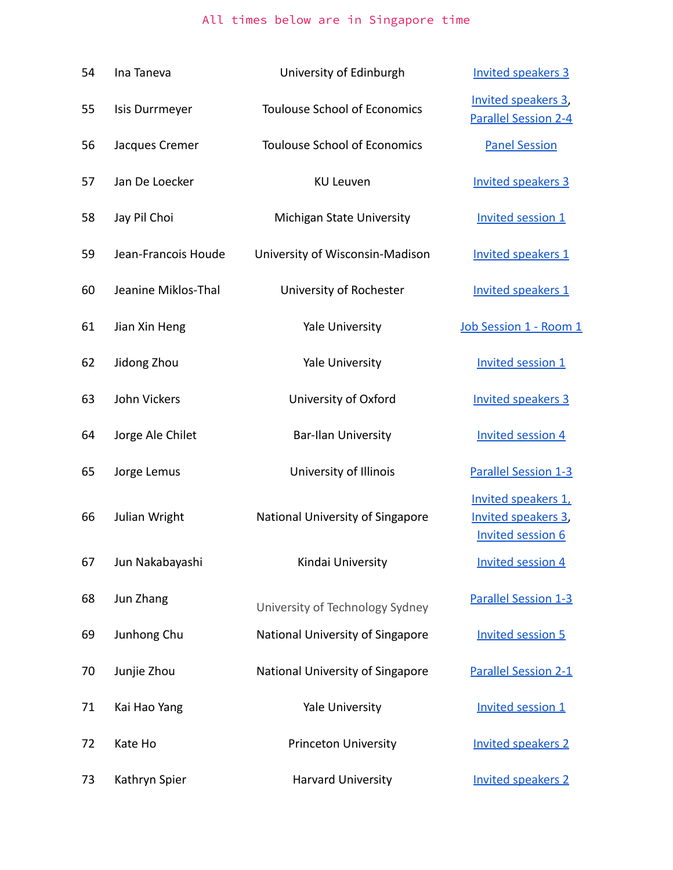| 54 | Ina Taneva          | University of Edinburgh             | <b>Invited speakers 3</b>                                              |
|----|---------------------|-------------------------------------|------------------------------------------------------------------------|
| 55 | Isis Durrmeyer      | <b>Toulouse School of Economics</b> | Invited speakers 3,<br><b>Parallel Session 2-4</b>                     |
| 56 | Jacques Cremer      | <b>Toulouse School of Economics</b> | <b>Panel Session</b>                                                   |
| 57 | Jan De Loecker      | <b>KU Leuven</b>                    | <b>Invited speakers 3</b>                                              |
| 58 | Jay Pil Choi        | <b>Michigan State University</b>    | <b>Invited session 1</b>                                               |
| 59 | Jean-Francois Houde | University of Wisconsin-Madison     | Invited speakers 1                                                     |
| 60 | Jeanine Miklos-Thal | University of Rochester             | <b>Invited speakers 1</b>                                              |
| 61 | Jian Xin Heng       | <b>Yale University</b>              | Job Session 1 - Room 1                                                 |
| 62 | Jidong Zhou         | <b>Yale University</b>              | <b>Invited session 1</b>                                               |
| 63 | John Vickers        | University of Oxford                | <b>Invited speakers 3</b>                                              |
| 64 | Jorge Ale Chilet    | <b>Bar-Ilan University</b>          | <b>Invited session 4</b>                                               |
| 65 | Jorge Lemus         | University of Illinois              | <b>Parallel Session 1-3</b>                                            |
| 66 | Julian Wright       | National University of Singapore    | Invited speakers 1,<br>Invited speakers 3,<br><b>Invited session 6</b> |
| 67 | Jun Nakabayashi     | Kindai University                   | <b>Invited session 4</b>                                               |
| 68 | Jun Zhang           | University of Technology Sydney     | <b>Parallel Session 1-3</b>                                            |
| 69 | Junhong Chu         | National University of Singapore    | <b>Invited session 5</b>                                               |
| 70 | Junjie Zhou         | National University of Singapore    | <b>Parallel Session 2-1</b>                                            |
| 71 | Kai Hao Yang        | Yale University                     | <b>Invited session 1</b>                                               |
| 72 | Kate Ho             | <b>Princeton University</b>         | <b>Invited speakers 2</b>                                              |
| 73 | Kathryn Spier       | Harvard University                  | <b>Invited speakers 2</b>                                              |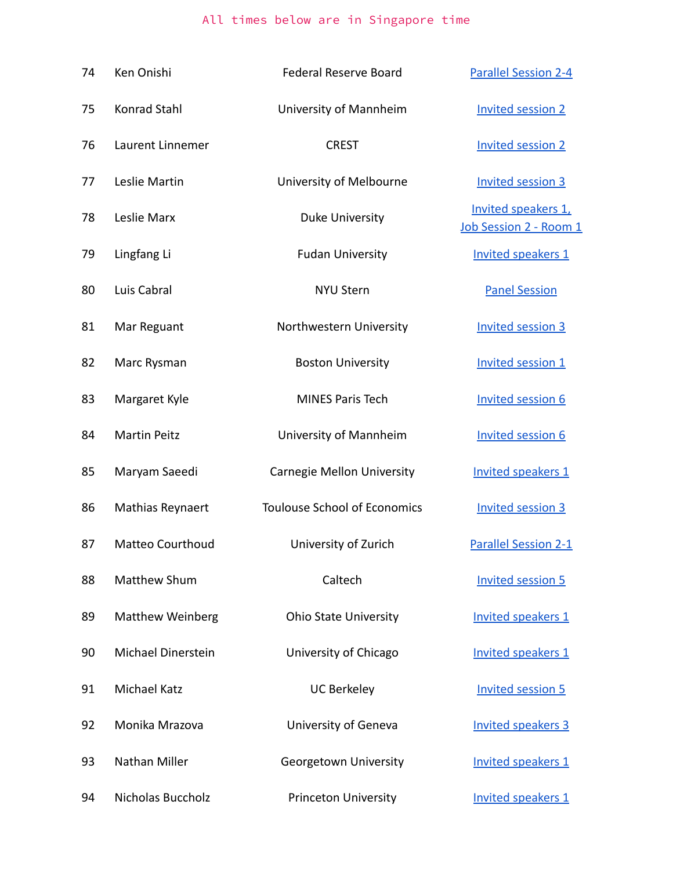| 74 | Ken Onishi                | <b>Federal Reserve Board</b>        | <b>Parallel Session 2-4</b>                   |
|----|---------------------------|-------------------------------------|-----------------------------------------------|
| 75 | Konrad Stahl              | University of Mannheim              | <b>Invited session 2</b>                      |
| 76 | Laurent Linnemer          | <b>CREST</b>                        | <b>Invited session 2</b>                      |
| 77 | Leslie Martin             | University of Melbourne             | <b>Invited session 3</b>                      |
| 78 | Leslie Marx               | Duke University                     | Invited speakers 1,<br>Job Session 2 - Room 1 |
| 79 | Lingfang Li               | <b>Fudan University</b>             | Invited speakers 1                            |
| 80 | Luis Cabral               | <b>NYU Stern</b>                    | <b>Panel Session</b>                          |
| 81 | Mar Reguant               | Northwestern University             | <b>Invited session 3</b>                      |
| 82 | Marc Rysman               | <b>Boston University</b>            | <b>Invited session 1</b>                      |
| 83 | Margaret Kyle             | <b>MINES Paris Tech</b>             | <b>Invited session 6</b>                      |
| 84 | <b>Martin Peitz</b>       | University of Mannheim              | <b>Invited session 6</b>                      |
| 85 | Maryam Saeedi             | Carnegie Mellon University          | Invited speakers 1                            |
| 86 | Mathias Reynaert          | <b>Toulouse School of Economics</b> | <b>Invited session 3</b>                      |
| 87 | <b>Matteo Courthoud</b>   | University of Zurich                | <b>Parallel Session 2-1</b>                   |
| 88 | Matthew Shum              | Caltech                             | <b>Invited session 5</b>                      |
| 89 | <b>Matthew Weinberg</b>   | <b>Ohio State University</b>        | Invited speakers 1                            |
| 90 | <b>Michael Dinerstein</b> | University of Chicago               | Invited speakers 1                            |
| 91 | <b>Michael Katz</b>       | <b>UC Berkeley</b>                  | <b>Invited session 5</b>                      |
| 92 | Monika Mrazova            | University of Geneva                | <b>Invited speakers 3</b>                     |
| 93 | Nathan Miller             | Georgetown University               | Invited speakers 1                            |
| 94 | Nicholas Buccholz         | <b>Princeton University</b>         | Invited speakers 1                            |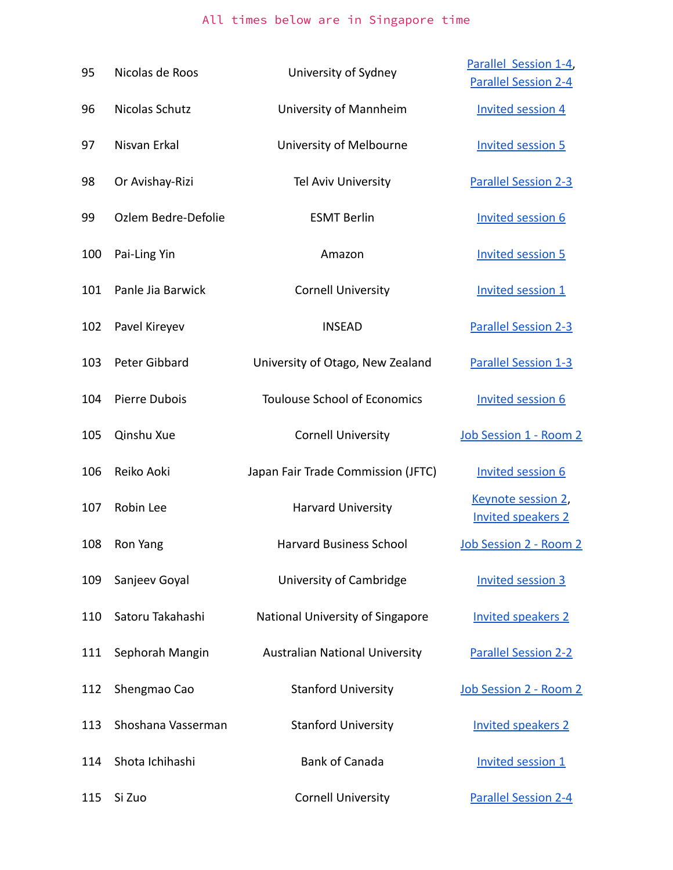| 95  | Nicolas de Roos     | University of Sydney                  | Parallel Session 1-4,                                   |
|-----|---------------------|---------------------------------------|---------------------------------------------------------|
| 96  | Nicolas Schutz      | University of Mannheim                | <b>Parallel Session 2-4</b><br><b>Invited session 4</b> |
| 97  | Nisvan Erkal        | University of Melbourne               | <b>Invited session 5</b>                                |
| 98  | Or Avishay-Rizi     | Tel Aviv University                   | <b>Parallel Session 2-3</b>                             |
| 99  | Ozlem Bedre-Defolie | <b>ESMT Berlin</b>                    | <b>Invited session 6</b>                                |
| 100 | Pai-Ling Yin        | Amazon                                | <b>Invited session 5</b>                                |
| 101 | Panle Jia Barwick   | <b>Cornell University</b>             | <b>Invited session 1</b>                                |
| 102 | Pavel Kireyev       | <b>INSEAD</b>                         | <b>Parallel Session 2-3</b>                             |
| 103 | Peter Gibbard       | University of Otago, New Zealand      | <b>Parallel Session 1-3</b>                             |
| 104 | Pierre Dubois       | <b>Toulouse School of Economics</b>   | <b>Invited session 6</b>                                |
| 105 | Qinshu Xue          | <b>Cornell University</b>             | Job Session 1 - Room 2                                  |
| 106 | Reiko Aoki          | Japan Fair Trade Commission (JFTC)    | <b>Invited session 6</b>                                |
| 107 | Robin Lee           | <b>Harvard University</b>             | Keynote session 2,<br><b>Invited speakers 2</b>         |
| 108 | Ron Yang            | Harvard Business School               | Job Session 2 - Room 2                                  |
| 109 | Sanjeev Goyal       | University of Cambridge               | <b>Invited session 3</b>                                |
| 110 | Satoru Takahashi    | National University of Singapore      | <b>Invited speakers 2</b>                               |
| 111 | Sephorah Mangin     | <b>Australian National University</b> | <b>Parallel Session 2-2</b>                             |
| 112 | Shengmao Cao        | <b>Stanford University</b>            | Job Session 2 - Room 2                                  |
| 113 | Shoshana Vasserman  | <b>Stanford University</b>            | <b>Invited speakers 2</b>                               |
| 114 | Shota Ichihashi     | <b>Bank of Canada</b>                 | <b>Invited session 1</b>                                |
| 115 | Si Zuo              | <b>Cornell University</b>             | <b>Parallel Session 2-4</b>                             |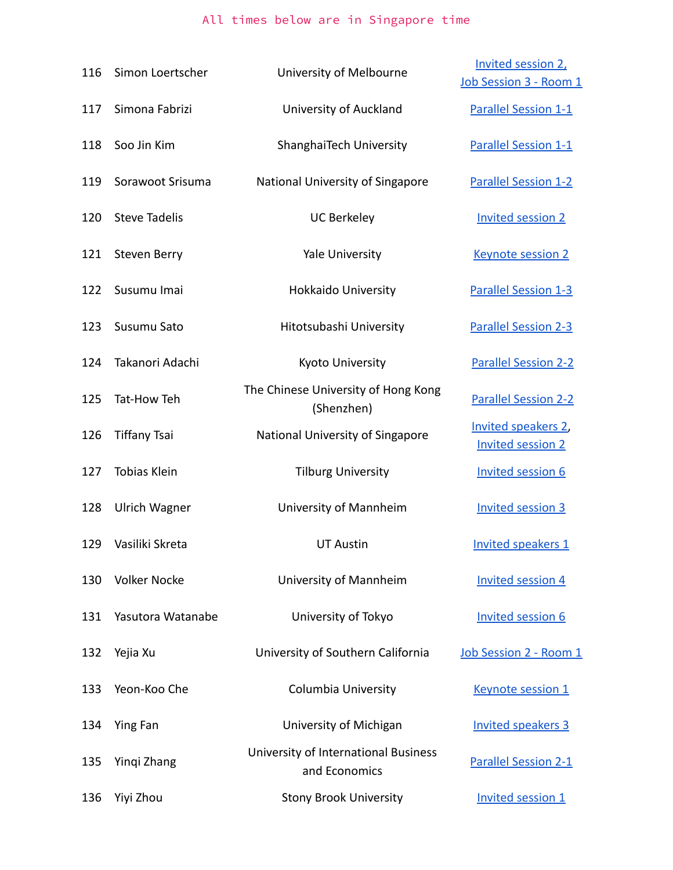| 116 | Simon Loertscher     | University of Melbourne                               | Invited session 2,<br>Job Session 3 - Room 1    |
|-----|----------------------|-------------------------------------------------------|-------------------------------------------------|
| 117 | Simona Fabrizi       | University of Auckland                                | <b>Parallel Session 1-1</b>                     |
| 118 | Soo Jin Kim          | ShanghaiTech University                               | <b>Parallel Session 1-1</b>                     |
| 119 | Sorawoot Srisuma     | National University of Singapore                      | <b>Parallel Session 1-2</b>                     |
| 120 | <b>Steve Tadelis</b> | <b>UC Berkeley</b>                                    | <b>Invited session 2</b>                        |
| 121 | <b>Steven Berry</b>  | Yale University                                       | <b>Keynote session 2</b>                        |
| 122 | Susumu Imai          | Hokkaido University                                   | <b>Parallel Session 1-3</b>                     |
| 123 | Susumu Sato          | Hitotsubashi University                               | <b>Parallel Session 2-3</b>                     |
| 124 | Takanori Adachi      | Kyoto University                                      | <b>Parallel Session 2-2</b>                     |
| 125 | Tat-How Teh          | The Chinese University of Hong Kong<br>(Shenzhen)     | <b>Parallel Session 2-2</b>                     |
| 126 | <b>Tiffany Tsai</b>  | National University of Singapore                      | Invited speakers 2,<br><b>Invited session 2</b> |
| 127 | <b>Tobias Klein</b>  | <b>Tilburg University</b>                             | <b>Invited session 6</b>                        |
| 128 | <b>Ulrich Wagner</b> | University of Mannheim                                | <b>Invited session 3</b>                        |
| 129 | Vasiliki Skreta      | <b>UT Austin</b>                                      | Invited speakers 1                              |
| 130 | <b>Volker Nocke</b>  | University of Mannheim                                | <b>Invited session 4</b>                        |
| 131 | Yasutora Watanabe    | University of Tokyo                                   | <b>Invited session 6</b>                        |
| 132 | Yejia Xu             | University of Southern California                     | Job Session 2 - Room 1                          |
| 133 | Yeon-Koo Che         | <b>Columbia University</b>                            | Keynote session 1                               |
| 134 | Ying Fan             | University of Michigan                                | <b>Invited speakers 3</b>                       |
| 135 | Yingi Zhang          | University of International Business<br>and Economics | <b>Parallel Session 2-1</b>                     |
| 136 | Yiyi Zhou            | <b>Stony Brook University</b>                         | <b>Invited session 1</b>                        |